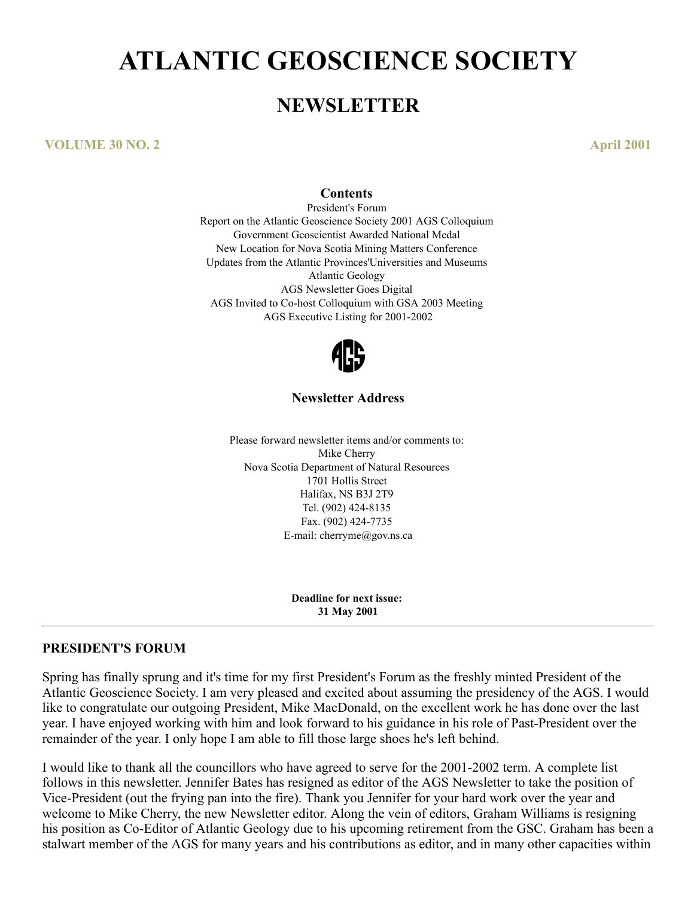# **ATLANTIC GEOSCIENCE SOCIETY**

## **NEWSLETTER**

**VOLUME 30 NO. 2 April 2001**

#### **Contents**

President's Forum Report on the Atlantic Geoscience Society 2001 AGS Colloquium Government Geoscientist Awarded National Medal New Location for Nova Scotia Mining Matters Conference Updates from the Atlantic Provinces'Universities and Museums Atlantic Geology AGS Newsletter Goes Digital AGS Invited to Co-host Colloquium with GSA 2003 Meeting AGS Executive Listing for 2001-2002



#### **Newsletter Address**

Please forward newsletter items and/or comments to: Mike Cherry Nova Scotia Department of Natural Resources 1701 Hollis Street Halifax, NS B3J 2T9 Tel. (902) 424-8135 Fax. (902) 424-7735 E-mail: cherryme@gov.ns.ca

> **Deadline for next issue: 31 May 2001**

#### **PRESIDENT'S FORUM**

Spring has finally sprung and it's time for my first President's Forum as the freshly minted President of the Atlantic Geoscience Society. I am very pleased and excited about assuming the presidency of the AGS. I would like to congratulate our outgoing President, Mike MacDonald, on the excellent work he has done over the last year. I have enjoyed working with him and look forward to his guidance in his role of Past-President over the remainder of the year. I only hope I am able to fill those large shoes he's left behind.

I would like to thank all the councillors who have agreed to serve for the 2001-2002 term. A complete list follows in this newsletter. Jennifer Bates has resigned as editor of the AGS Newsletter to take the position of Vice-President (out the frying pan into the fire). Thank you Jennifer for your hard work over the year and welcome to Mike Cherry, the new Newsletter editor. Along the vein of editors, Graham Williams is resigning his position as Co-Editor of Atlantic Geology due to his upcoming retirement from the GSC. Graham has been a stalwart member of the AGS for many years and his contributions as editor, and in many other capacities within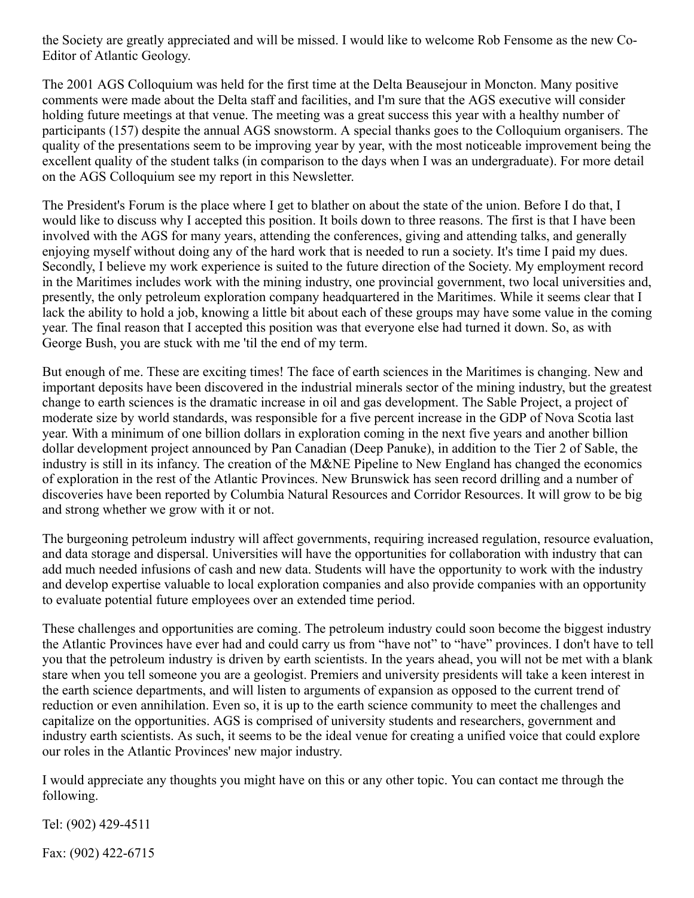the Society are greatly appreciated and will be missed. I would like to welcome Rob Fensome as the new Co-Editor of Atlantic Geology.

The 2001 AGS Colloquium was held for the first time at the Delta Beausejour in Moncton. Many positive comments were made about the Delta staff and facilities, and I'm sure that the AGS executive will consider holding future meetings at that venue. The meeting was a great success this year with a healthy number of participants (157) despite the annual AGS snowstorm. A special thanks goes to the Colloquium organisers. The quality of the presentations seem to be improving year by year, with the most noticeable improvement being the excellent quality of the student talks (in comparison to the days when I was an undergraduate). For more detail on the AGS Colloquium see my report in this Newsletter.

The President's Forum is the place where I get to blather on about the state of the union. Before I do that, I would like to discuss why I accepted this position. It boils down to three reasons. The first is that I have been involved with the AGS for many years, attending the conferences, giving and attending talks, and generally enjoying myself without doing any of the hard work that is needed to run a society. It's time I paid my dues. Secondly, I believe my work experience is suited to the future direction of the Society. My employment record in the Maritimes includes work with the mining industry, one provincial government, two local universities and, presently, the only petroleum exploration company headquartered in the Maritimes. While it seems clear that I lack the ability to hold a job, knowing a little bit about each of these groups may have some value in the coming year. The final reason that I accepted this position was that everyone else had turned it down. So, as with George Bush, you are stuck with me 'til the end of my term.

But enough of me. These are exciting times! The face of earth sciences in the Maritimes is changing. New and important deposits have been discovered in the industrial minerals sector of the mining industry, but the greatest change to earth sciences is the dramatic increase in oil and gas development. The Sable Project, a project of moderate size by world standards, was responsible for a five percent increase in the GDP of Nova Scotia last year. With a minimum of one billion dollars in exploration coming in the next five years and another billion dollar development project announced by Pan Canadian (Deep Panuke), in addition to the Tier 2 of Sable, the industry is still in its infancy. The creation of the M&NE Pipeline to New England has changed the economics of exploration in the rest of the Atlantic Provinces. New Brunswick has seen record drilling and a number of discoveries have been reported by Columbia Natural Resources and Corridor Resources. It will grow to be big and strong whether we grow with it or not.

The burgeoning petroleum industry will affect governments, requiring increased regulation, resource evaluation, and data storage and dispersal. Universities will have the opportunities for collaboration with industry that can add much needed infusions of cash and new data. Students will have the opportunity to work with the industry and develop expertise valuable to local exploration companies and also provide companies with an opportunity to evaluate potential future employees over an extended time period.

These challenges and opportunities are coming. The petroleum industry could soon become the biggest industry the Atlantic Provinces have ever had and could carry us from "have not" to "have" provinces. I don't have to tell you that the petroleum industry is driven by earth scientists. In the years ahead, you will not be met with a blank stare when you tell someone you are a geologist. Premiers and university presidents will take a keen interest in the earth science departments, and will listen to arguments of expansion as opposed to the current trend of reduction or even annihilation. Even so, it is up to the earth science community to meet the challenges and capitalize on the opportunities. AGS is comprised of university students and researchers, government and industry earth scientists. As such, it seems to be the ideal venue for creating a unified voice that could explore our roles in the Atlantic Provinces' new major industry.

I would appreciate any thoughts you might have on this or any other topic. You can contact me through the following.

Tel: (902) 429-4511

Fax: (902) 422-6715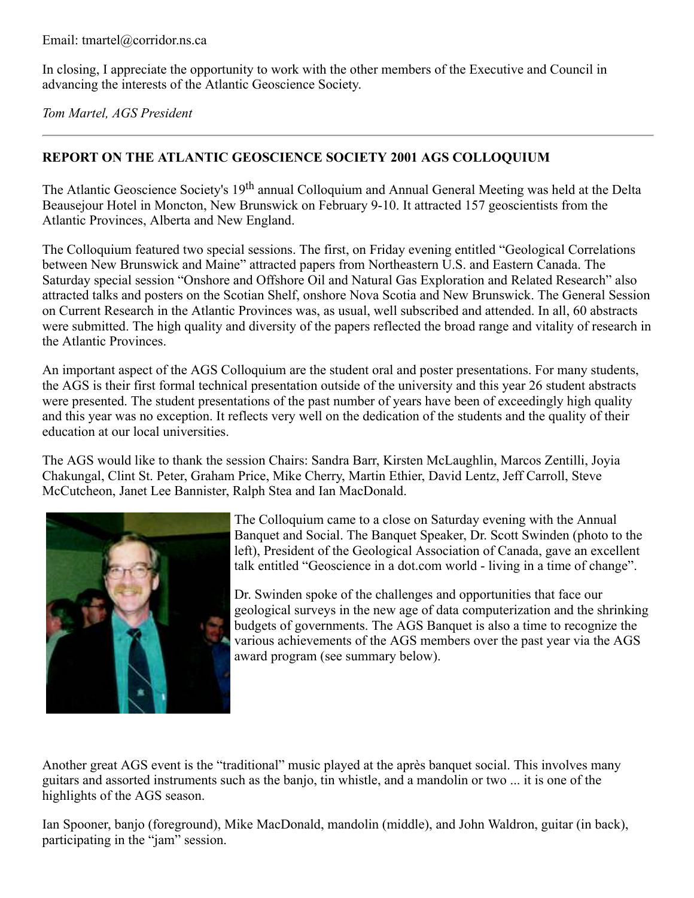In closing, I appreciate the opportunity to work with the other members of the Executive and Council in advancing the interests of the Atlantic Geoscience Society.

*Tom Martel, AGS President*

## **REPORT ON THE ATLANTIC GEOSCIENCE SOCIETY 2001 AGS COLLOQUIUM**

The Atlantic Geoscience Society's 19<sup>th</sup> annual Colloquium and Annual General Meeting was held at the Delta Beausejour Hotel in Moncton, New Brunswick on February 9-10. It attracted 157 geoscientists from the Atlantic Provinces, Alberta and New England.

The Colloquium featured two special sessions. The first, on Friday evening entitled "Geological Correlations between New Brunswick and Maine" attracted papers from Northeastern U.S. and Eastern Canada. The Saturday special session "Onshore and Offshore Oil and Natural Gas Exploration and Related Research" also attracted talks and posters on the Scotian Shelf, onshore Nova Scotia and New Brunswick. The General Session on Current Research in the Atlantic Provinces was, as usual, well subscribed and attended. In all, 60 abstracts were submitted. The high quality and diversity of the papers reflected the broad range and vitality of research in the Atlantic Provinces.

An important aspect of the AGS Colloquium are the student oral and poster presentations. For many students, the AGS is their first formal technical presentation outside of the university and this year 26 student abstracts were presented. The student presentations of the past number of years have been of exceedingly high quality and this year was no exception. It reflects very well on the dedication of the students and the quality of their education at our local universities.

The AGS would like to thank the session Chairs: Sandra Barr, Kirsten McLaughlin, Marcos Zentilli, Joyia Chakungal, Clint St. Peter, Graham Price, Mike Cherry, Martin Ethier, David Lentz, Jeff Carroll, Steve McCutcheon, Janet Lee Bannister, Ralph Stea and Ian MacDonald.



The Colloquium came to a close on Saturday evening with the Annual Banquet and Social. The Banquet Speaker, Dr. Scott Swinden (photo to the left), President of the Geological Association of Canada, gave an excellent talk entitled "Geoscience in a dot.com world - living in a time of change".

Dr. Swinden spoke of the challenges and opportunities that face our geological surveys in the new age of data computerization and the shrinking budgets of governments. The AGS Banquet is also a time to recognize the various achievements of the AGS members over the past year via the AGS award program (see summary below).

Another great AGS event is the "traditional" music played at the après banquet social. This involves many guitars and assorted instruments such as the banjo, tin whistle, and a mandolin or two ... it is one of the highlights of the AGS season.

Ian Spooner, banjo (foreground), Mike MacDonald, mandolin (middle), and John Waldron, guitar (in back), participating in the "jam" session.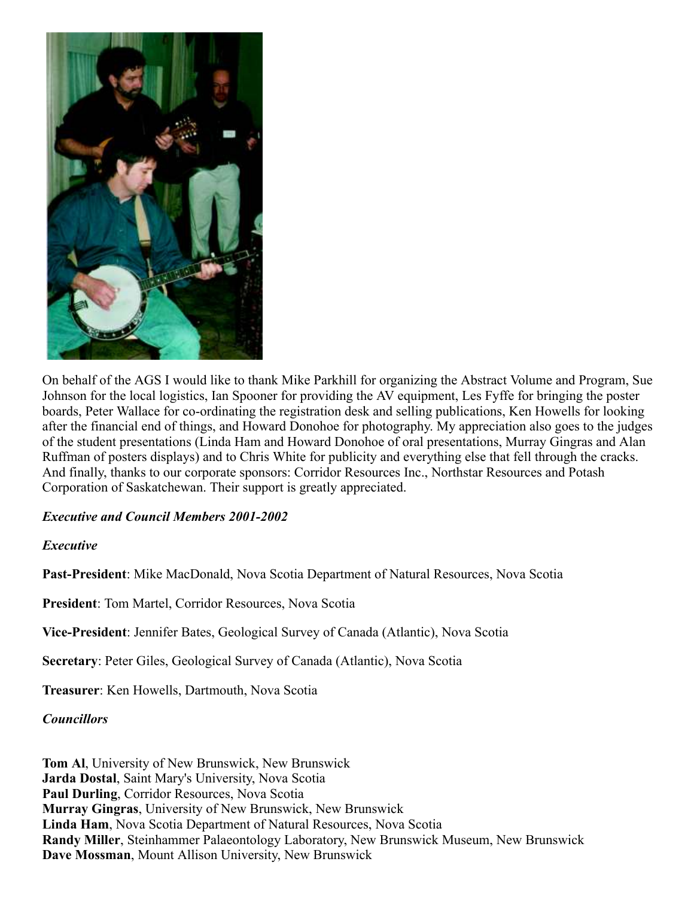

On behalf of the AGS I would like to thank Mike Parkhill for organizing the Abstract Volume and Program, Sue Johnson for the local logistics, Ian Spooner for providing the AV equipment, Les Fyffe for bringing the poster boards, Peter Wallace for co-ordinating the registration desk and selling publications, Ken Howells for looking after the financial end of things, and Howard Donohoe for photography. My appreciation also goes to the judges of the student presentations (Linda Ham and Howard Donohoe of oral presentations, Murray Gingras and Alan Ruffman of posters displays) and to Chris White for publicity and everything else that fell through the cracks. And finally, thanks to our corporate sponsors: Corridor Resources Inc., Northstar Resources and Potash Corporation of Saskatchewan. Their support is greatly appreciated.

#### *Executive and Council Members 2001-2002*

#### *Executive*

**Past-President**: Mike MacDonald, Nova Scotia Department of Natural Resources, Nova Scotia

**President**: Tom Martel, Corridor Resources, Nova Scotia

**Vice-President**: Jennifer Bates, Geological Survey of Canada (Atlantic), Nova Scotia

**Secretary**: Peter Giles, Geological Survey of Canada (Atlantic), Nova Scotia

**Treasurer**: Ken Howells, Dartmouth, Nova Scotia

#### *Councillors*

**Tom Al**, University of New Brunswick, New Brunswick **Jarda Dostal**, Saint Mary's University, Nova Scotia Paul Durling, Corridor Resources, Nova Scotia **Murray Gingras**, University of New Brunswick, New Brunswick **Linda Ham**, Nova Scotia Department of Natural Resources, Nova Scotia **Randy Miller**, Steinhammer Palaeontology Laboratory, New Brunswick Museum, New Brunswick **Dave Mossman**, Mount Allison University, New Brunswick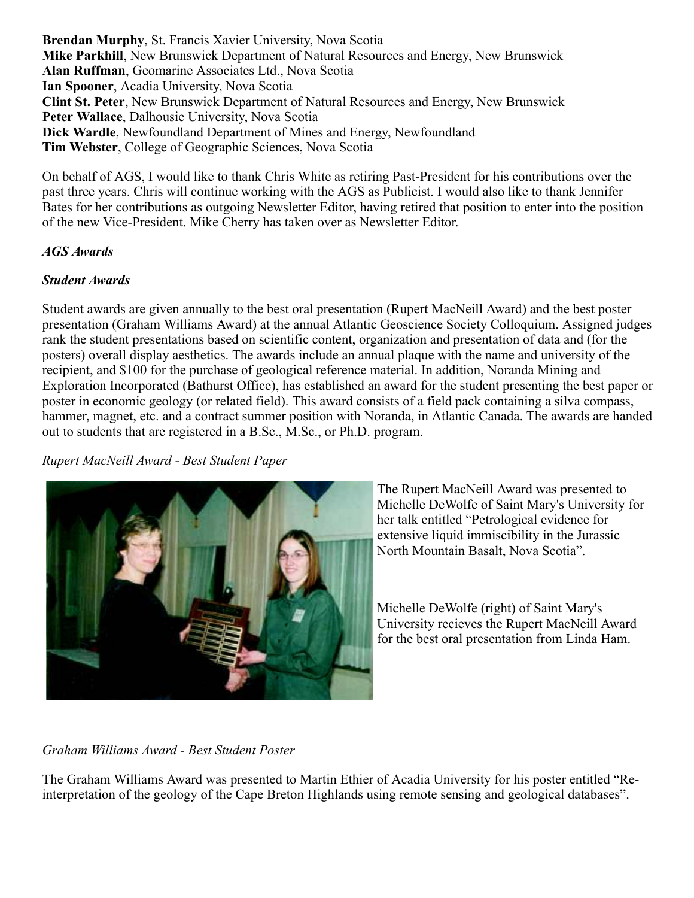**Brendan Murphy**, St. Francis Xavier University, Nova Scotia **Mike Parkhill**, New Brunswick Department of Natural Resources and Energy, New Brunswick **Alan Ruffman**, Geomarine Associates Ltd., Nova Scotia **Ian Spooner**, Acadia University, Nova Scotia **Clint St. Peter**, New Brunswick Department of Natural Resources and Energy, New Brunswick **Peter Wallace**, Dalhousie University, Nova Scotia **Dick Wardle**, Newfoundland Department of Mines and Energy, Newfoundland **Tim Webster**, College of Geographic Sciences, Nova Scotia

On behalf of AGS, I would like to thank Chris White as retiring Past-President for his contributions over the past three years. Chris will continue working with the AGS as Publicist. I would also like to thank Jennifer Bates for her contributions as outgoing Newsletter Editor, having retired that position to enter into the position of the new Vice-President. Mike Cherry has taken over as Newsletter Editor.

#### *AGS Awards*

#### *Student Awards*

Student awards are given annually to the best oral presentation (Rupert MacNeill Award) and the best poster presentation (Graham Williams Award) at the annual Atlantic Geoscience Society Colloquium. Assigned judges rank the student presentations based on scientific content, organization and presentation of data and (for the posters) overall display aesthetics. The awards include an annual plaque with the name and university of the recipient, and \$100 for the purchase of geological reference material. In addition, Noranda Mining and Exploration Incorporated (Bathurst Office), has established an award for the student presenting the best paper or poster in economic geology (or related field). This award consists of a field pack containing a silva compass, hammer, magnet, etc. and a contract summer position with Noranda, in Atlantic Canada. The awards are handed out to students that are registered in a B.Sc., M.Sc., or Ph.D. program.

*Rupert MacNeill Award - Best Student Paper*



The Rupert MacNeill Award was presented to Michelle DeWolfe of Saint Mary's University for her talk entitled "Petrological evidence for extensive liquid immiscibility in the Jurassic North Mountain Basalt, Nova Scotia".

Michelle DeWolfe (right) of Saint Mary's University recieves the Rupert MacNeill Award for the best oral presentation from Linda Ham.

#### *Graham Williams Award - Best Student Poster*

The Graham Williams Award was presented to Martin Ethier of Acadia University for his poster entitled "Reinterpretation of the geology of the Cape Breton Highlands using remote sensing and geological databases".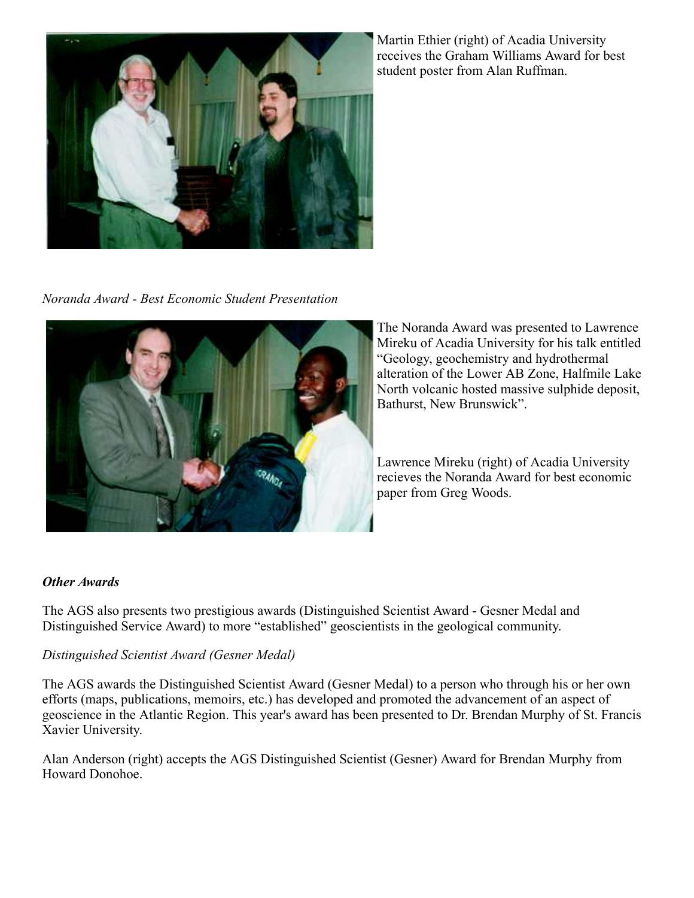

Martin Ethier (right) of Acadia University receives the Graham Williams Award for best student poster from Alan Ruffman.

*Noranda Award - Best Economic Student Presentation*



The Noranda Award was presented to Lawrence Mireku of Acadia University for his talk entitled "Geology, geochemistry and hydrothermal alteration of the Lower AB Zone, Halfmile Lake North volcanic hosted massive sulphide deposit, Bathurst, New Brunswick".

Lawrence Mireku (right) of Acadia University recieves the Noranda Award for best economic paper from Greg Woods.

## *Other Awards*

The AGS also presents two prestigious awards (Distinguished Scientist Award - Gesner Medal and Distinguished Service Award) to more "established" geoscientists in the geological community.

#### *Distinguished Scientist Award (Gesner Medal)*

The AGS awards the Distinguished Scientist Award (Gesner Medal) to a person who through his or her own efforts (maps, publications, memoirs, etc.) has developed and promoted the advancement of an aspect of geoscience in the Atlantic Region. This year's award has been presented to Dr. Brendan Murphy of St. Francis Xavier University.

Alan Anderson (right) accepts the AGS Distinguished Scientist (Gesner) Award for Brendan Murphy from Howard Donohoe.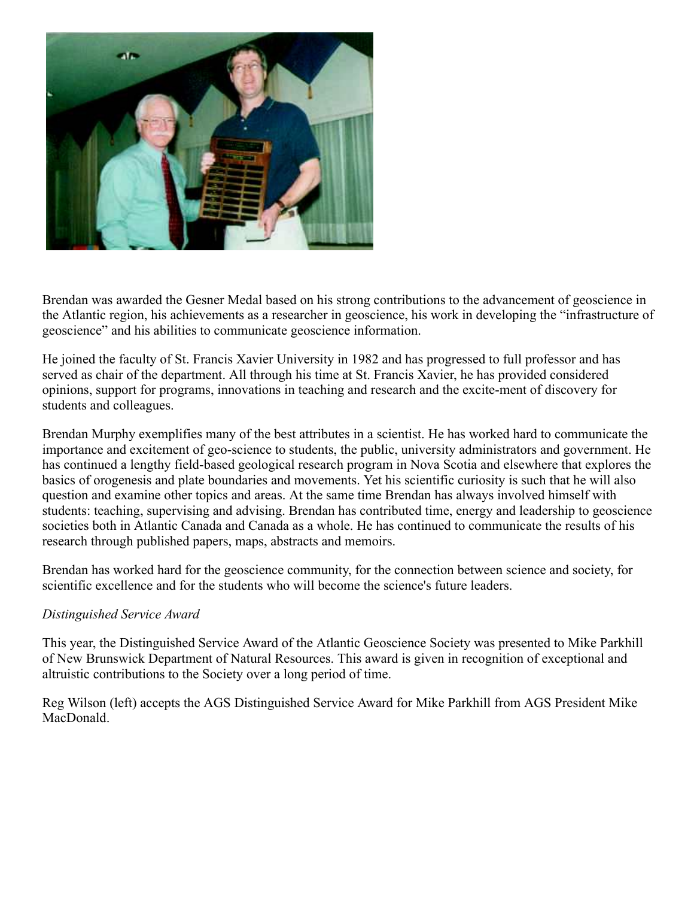

Brendan was awarded the Gesner Medal based on his strong contributions to the advancement of geoscience in the Atlantic region, his achievements as a researcher in geoscience, his work in developing the "infrastructure of geoscience" and his abilities to communicate geoscience information.

He joined the faculty of St. Francis Xavier University in 1982 and has progressed to full professor and has served as chair of the department. All through his time at St. Francis Xavier, he has provided considered opinions, support for programs, innovations in teaching and research and the excite-ment of discovery for students and colleagues.

Brendan Murphy exemplifies many of the best attributes in a scientist. He has worked hard to communicate the importance and excitement of geo-science to students, the public, university administrators and government. He has continued a lengthy field-based geological research program in Nova Scotia and elsewhere that explores the basics of orogenesis and plate boundaries and movements. Yet his scientific curiosity is such that he will also question and examine other topics and areas. At the same time Brendan has always involved himself with students: teaching, supervising and advising. Brendan has contributed time, energy and leadership to geoscience societies both in Atlantic Canada and Canada as a whole. He has continued to communicate the results of his research through published papers, maps, abstracts and memoirs.

Brendan has worked hard for the geoscience community, for the connection between science and society, for scientific excellence and for the students who will become the science's future leaders.

#### *Distinguished Service Award*

This year, the Distinguished Service Award of the Atlantic Geoscience Society was presented to Mike Parkhill of New Brunswick Department of Natural Resources. This award is given in recognition of exceptional and altruistic contributions to the Society over a long period of time.

Reg Wilson (left) accepts the AGS Distinguished Service Award for Mike Parkhill from AGS President Mike MacDonald.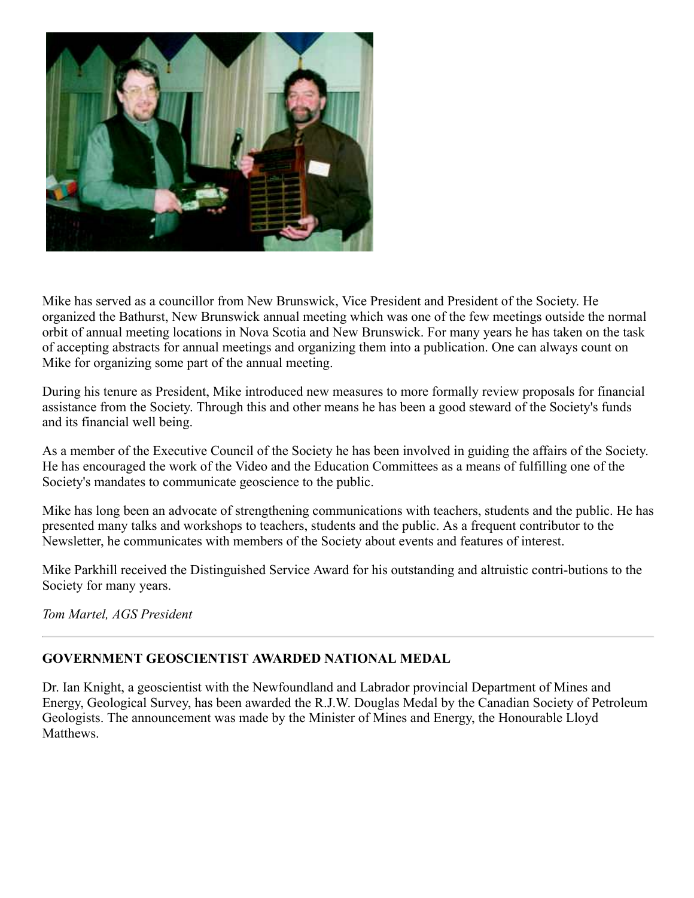

Mike has served as a councillor from New Brunswick, Vice President and President of the Society. He organized the Bathurst, New Brunswick annual meeting which was one of the few meetings outside the normal orbit of annual meeting locations in Nova Scotia and New Brunswick. For many years he has taken on the task of accepting abstracts for annual meetings and organizing them into a publication. One can always count on Mike for organizing some part of the annual meeting.

During his tenure as President, Mike introduced new measures to more formally review proposals for financial assistance from the Society. Through this and other means he has been a good steward of the Society's funds and its financial well being.

As a member of the Executive Council of the Society he has been involved in guiding the affairs of the Society. He has encouraged the work of the Video and the Education Committees as a means of fulfilling one of the Society's mandates to communicate geoscience to the public.

Mike has long been an advocate of strengthening communications with teachers, students and the public. He has presented many talks and workshops to teachers, students and the public. As a frequent contributor to the Newsletter, he communicates with members of the Society about events and features of interest.

Mike Parkhill received the Distinguished Service Award for his outstanding and altruistic contri-butions to the Society for many years.

*Tom Martel, AGS President*

## **GOVERNMENT GEOSCIENTIST AWARDED NATIONAL MEDAL**

Dr. Ian Knight, a geoscientist with the Newfoundland and Labrador provincial Department of Mines and Energy, Geological Survey, has been awarded the R.J.W. Douglas Medal by the Canadian Society of Petroleum Geologists. The announcement was made by the Minister of Mines and Energy, the Honourable Lloyd Matthews.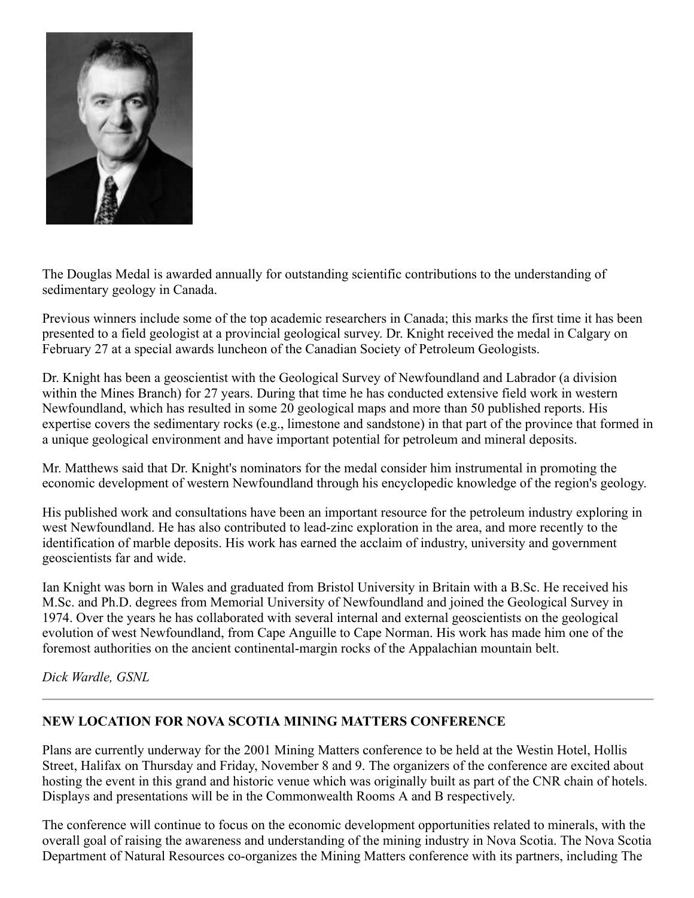

The Douglas Medal is awarded annually for outstanding scientific contributions to the understanding of sedimentary geology in Canada.

Previous winners include some of the top academic researchers in Canada; this marks the first time it has been presented to a field geologist at a provincial geological survey. Dr. Knight received the medal in Calgary on February 27 at a special awards luncheon of the Canadian Society of Petroleum Geologists.

Dr. Knight has been a geoscientist with the Geological Survey of Newfoundland and Labrador (a division within the Mines Branch) for 27 years. During that time he has conducted extensive field work in western Newfoundland, which has resulted in some 20 geological maps and more than 50 published reports. His expertise covers the sedimentary rocks (e.g., limestone and sandstone) in that part of the province that formed in a unique geological environment and have important potential for petroleum and mineral deposits.

Mr. Matthews said that Dr. Knight's nominators for the medal consider him instrumental in promoting the economic development of western Newfoundland through his encyclopedic knowledge of the region's geology.

His published work and consultations have been an important resource for the petroleum industry exploring in west Newfoundland. He has also contributed to lead-zinc exploration in the area, and more recently to the identification of marble deposits. His work has earned the acclaim of industry, university and government geoscientists far and wide.

Ian Knight was born in Wales and graduated from Bristol University in Britain with a B.Sc. He received his M.Sc. and Ph.D. degrees from Memorial University of Newfoundland and joined the Geological Survey in 1974. Over the years he has collaborated with several internal and external geoscientists on the geological evolution of west Newfoundland, from Cape Anguille to Cape Norman. His work has made him one of the foremost authorities on the ancient continental-margin rocks of the Appalachian mountain belt.

*Dick Wardle, GSNL*

#### **NEW LOCATION FOR NOVA SCOTIA MINING MATTERS CONFERENCE**

Plans are currently underway for the 2001 Mining Matters conference to be held at the Westin Hotel, Hollis Street, Halifax on Thursday and Friday, November 8 and 9. The organizers of the conference are excited about hosting the event in this grand and historic venue which was originally built as part of the CNR chain of hotels. Displays and presentations will be in the Commonwealth Rooms A and B respectively.

The conference will continue to focus on the economic development opportunities related to minerals, with the overall goal of raising the awareness and understanding of the mining industry in Nova Scotia. The Nova Scotia Department of Natural Resources co-organizes the Mining Matters conference with its partners, including The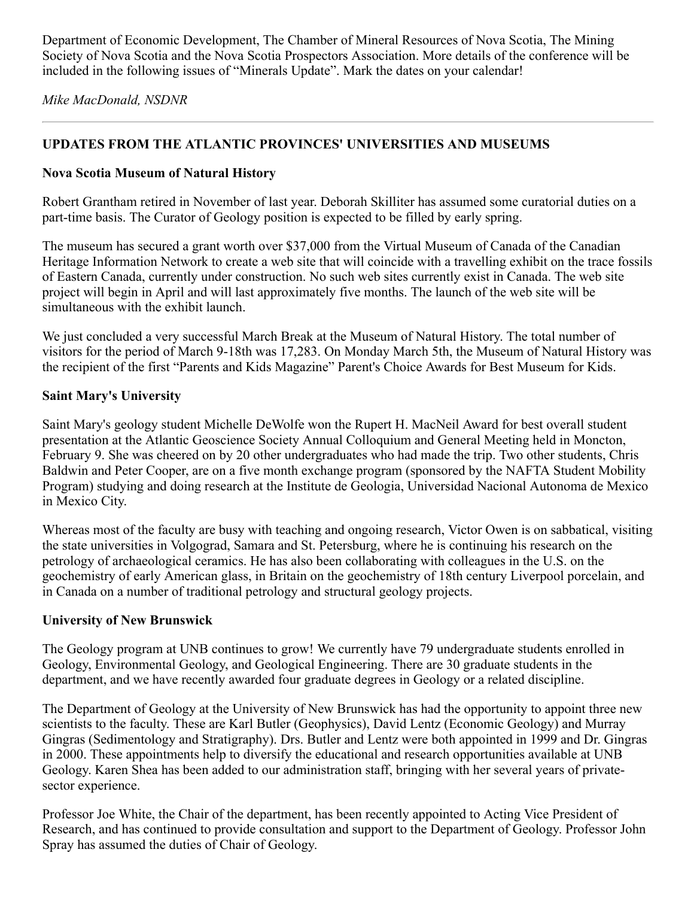Department of Economic Development, The Chamber of Mineral Resources of Nova Scotia, The Mining Society of Nova Scotia and the Nova Scotia Prospectors Association. More details of the conference will be included in the following issues of "Minerals Update". Mark the dates on your calendar!

*Mike MacDonald, NSDNR*

## **UPDATES FROM THE ATLANTIC PROVINCES' UNIVERSITIES AND MUSEUMS**

#### **Nova Scotia Museum of Natural History**

Robert Grantham retired in November of last year. Deborah Skilliter has assumed some curatorial duties on a part-time basis. The Curator of Geology position is expected to be filled by early spring.

The museum has secured a grant worth over \$37,000 from the Virtual Museum of Canada of the Canadian Heritage Information Network to create a web site that will coincide with a travelling exhibit on the trace fossils of Eastern Canada, currently under construction. No such web sites currently exist in Canada. The web site project will begin in April and will last approximately five months. The launch of the web site will be simultaneous with the exhibit launch.

We just concluded a very successful March Break at the Museum of Natural History. The total number of visitors for the period of March 9-18th was 17,283. On Monday March 5th, the Museum of Natural History was the recipient of the first "Parents and Kids Magazine" Parent's Choice Awards for Best Museum for Kids.

#### **Saint Mary's University**

Saint Mary's geology student Michelle DeWolfe won the Rupert H. MacNeil Award for best overall student presentation at the Atlantic Geoscience Society Annual Colloquium and General Meeting held in Moncton, February 9. She was cheered on by 20 other undergraduates who had made the trip. Two other students, Chris Baldwin and Peter Cooper, are on a five month exchange program (sponsored by the NAFTA Student Mobility Program) studying and doing research at the Institute de Geologia, Universidad Nacional Autonoma de Mexico in Mexico City.

Whereas most of the faculty are busy with teaching and ongoing research, Victor Owen is on sabbatical, visiting the state universities in Volgograd, Samara and St. Petersburg, where he is continuing his research on the petrology of archaeological ceramics. He has also been collaborating with colleagues in the U.S. on the geochemistry of early American glass, in Britain on the geochemistry of 18th century Liverpool porcelain, and in Canada on a number of traditional petrology and structural geology projects.

#### **University of New Brunswick**

The Geology program at UNB continues to grow! We currently have 79 undergraduate students enrolled in Geology, Environmental Geology, and Geological Engineering. There are 30 graduate students in the department, and we have recently awarded four graduate degrees in Geology or a related discipline.

The Department of Geology at the University of New Brunswick has had the opportunity to appoint three new scientists to the faculty. These are Karl Butler (Geophysics), David Lentz (Economic Geology) and Murray Gingras (Sedimentology and Stratigraphy). Drs. Butler and Lentz were both appointed in 1999 and Dr. Gingras in 2000. These appointments help to diversify the educational and research opportunities available at UNB Geology. Karen Shea has been added to our administration staff, bringing with her several years of privatesector experience.

Professor Joe White, the Chair of the department, has been recently appointed to Acting Vice President of Research, and has continued to provide consultation and support to the Department of Geology. Professor John Spray has assumed the duties of Chair of Geology.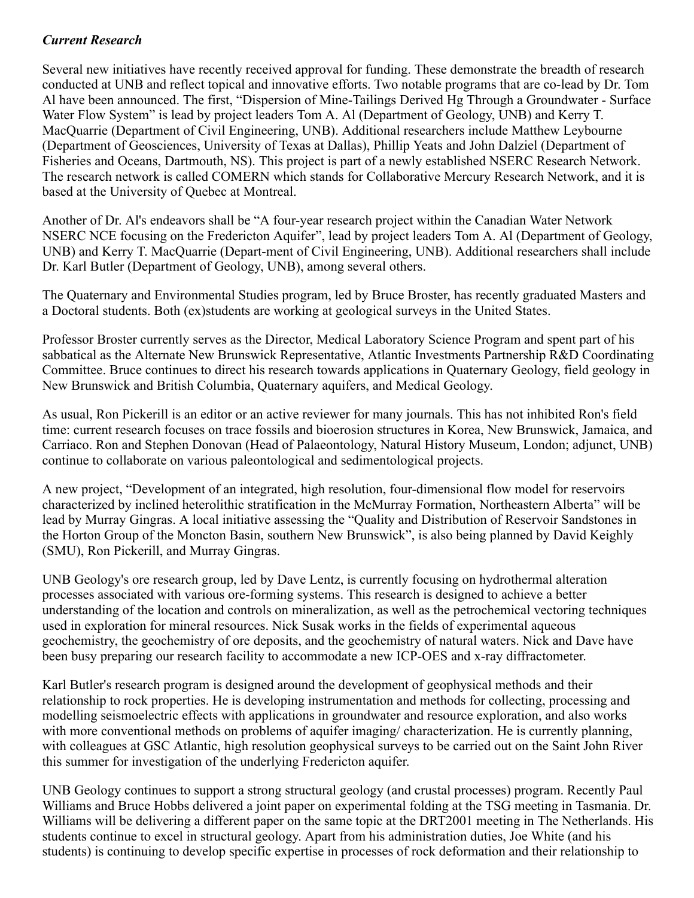## *Current Research*

Several new initiatives have recently received approval for funding. These demonstrate the breadth of research conducted at UNB and reflect topical and innovative efforts. Two notable programs that are co-lead by Dr. Tom Al have been announced. The first, "Dispersion of Mine-Tailings Derived Hg Through a Groundwater - Surface Water Flow System" is lead by project leaders Tom A. Al (Department of Geology, UNB) and Kerry T. MacQuarrie (Department of Civil Engineering, UNB). Additional researchers include Matthew Leybourne (Department of Geosciences, University of Texas at Dallas), Phillip Yeats and John Dalziel (Department of Fisheries and Oceans, Dartmouth, NS). This project is part of a newly established NSERC Research Network. The research network is called COMERN which stands for Collaborative Mercury Research Network, and it is based at the University of Quebec at Montreal.

Another of Dr. Al's endeavors shall be "A four-year research project within the Canadian Water Network NSERC NCE focusing on the Fredericton Aquifer", lead by project leaders Tom A. Al (Department of Geology, UNB) and Kerry T. MacQuarrie (Depart-ment of Civil Engineering, UNB). Additional researchers shall include Dr. Karl Butler (Department of Geology, UNB), among several others.

The Quaternary and Environmental Studies program, led by Bruce Broster, has recently graduated Masters and a Doctoral students. Both (ex)students are working at geological surveys in the United States.

Professor Broster currently serves as the Director, Medical Laboratory Science Program and spent part of his sabbatical as the Alternate New Brunswick Representative, Atlantic Investments Partnership R&D Coordinating Committee. Bruce continues to direct his research towards applications in Quaternary Geology, field geology in New Brunswick and British Columbia, Quaternary aquifers, and Medical Geology.

As usual, Ron Pickerill is an editor or an active reviewer for many journals. This has not inhibited Ron's field time: current research focuses on trace fossils and bioerosion structures in Korea, New Brunswick, Jamaica, and Carriaco. Ron and Stephen Donovan (Head of Palaeontology, Natural History Museum, London; adjunct, UNB) continue to collaborate on various paleontological and sedimentological projects.

A new project, "Development of an integrated, high resolution, four-dimensional flow model for reservoirs characterized by inclined heterolithic stratification in the McMurray Formation, Northeastern Alberta" will be lead by Murray Gingras. A local initiative assessing the "Quality and Distribution of Reservoir Sandstones in the Horton Group of the Moncton Basin, southern New Brunswick", is also being planned by David Keighly (SMU), Ron Pickerill, and Murray Gingras.

UNB Geology's ore research group, led by Dave Lentz, is currently focusing on hydrothermal alteration processes associated with various ore-forming systems. This research is designed to achieve a better understanding of the location and controls on mineralization, as well as the petrochemical vectoring techniques used in exploration for mineral resources. Nick Susak works in the fields of experimental aqueous geochemistry, the geochemistry of ore deposits, and the geochemistry of natural waters. Nick and Dave have been busy preparing our research facility to accommodate a new ICP-OES and x-ray diffractometer.

Karl Butler's research program is designed around the development of geophysical methods and their relationship to rock properties. He is developing instrumentation and methods for collecting, processing and modelling seismoelectric effects with applications in groundwater and resource exploration, and also works with more conventional methods on problems of aquifer imaging/ characterization. He is currently planning, with colleagues at GSC Atlantic, high resolution geophysical surveys to be carried out on the Saint John River this summer for investigation of the underlying Fredericton aquifer.

UNB Geology continues to support a strong structural geology (and crustal processes) program. Recently Paul Williams and Bruce Hobbs delivered a joint paper on experimental folding at the TSG meeting in Tasmania. Dr. Williams will be delivering a different paper on the same topic at the DRT2001 meeting in The Netherlands. His students continue to excel in structural geology. Apart from his administration duties, Joe White (and his students) is continuing to develop specific expertise in processes of rock deformation and their relationship to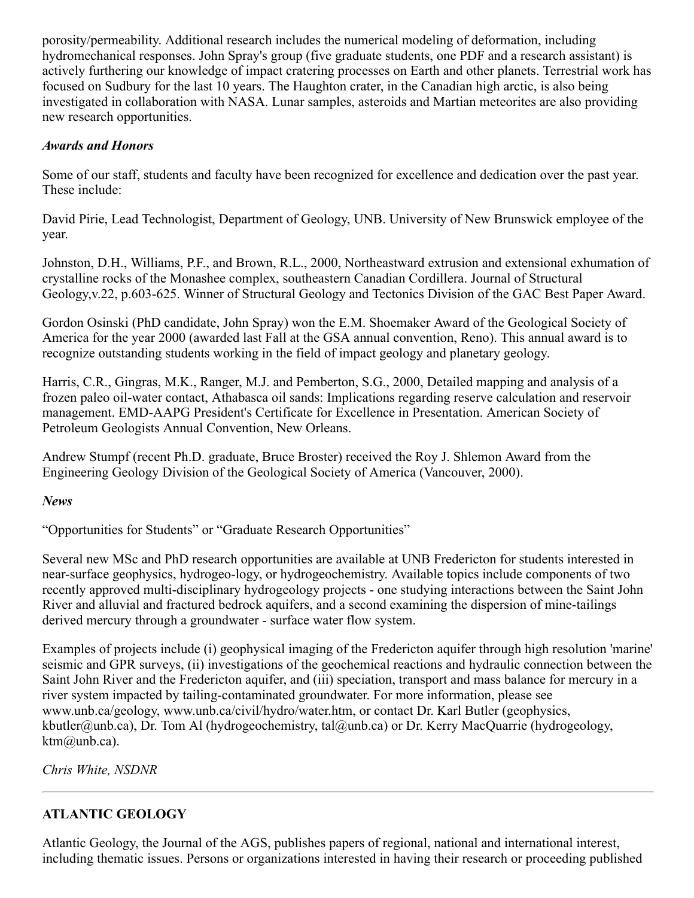porosity/permeability. Additional research includes the numerical modeling of deformation, including hydromechanical responses. John Spray's group (five graduate students, one PDF and a research assistant) is actively furthering our knowledge of impact cratering processes on Earth and other planets. Terrestrial work has focused on Sudbury for the last 10 years. The Haughton crater, in the Canadian high arctic, is also being investigated in collaboration with NASA. Lunar samples, asteroids and Martian meteorites are also providing new research opportunities.

#### *Awards and Honors*

Some of our staff, students and faculty have been recognized for excellence and dedication over the past year. These include:

David Pirie, Lead Technologist, Department of Geology, UNB. University of New Brunswick employee of the year.

Johnston, D.H., Williams, P.F., and Brown, R.L., 2000, Northeastward extrusion and extensional exhumation of crystalline rocks of the Monashee complex, southeastern Canadian Cordillera. Journal of Structural Geology,v.22, p.603-625. Winner of Structural Geology and Tectonics Division of the GAC Best Paper Award.

Gordon Osinski (PhD candidate, John Spray) won the E.M. Shoemaker Award of the Geological Society of America for the year 2000 (awarded last Fall at the GSA annual convention, Reno). This annual award is to recognize outstanding students working in the field of impact geology and planetary geology.

Harris, C.R., Gingras, M.K., Ranger, M.J. and Pemberton, S.G., 2000, Detailed mapping and analysis of a frozen paleo oil-water contact, Athabasca oil sands: Implications regarding reserve calculation and reservoir management. EMD-AAPG President's Certificate for Excellence in Presentation. American Society of Petroleum Geologists Annual Convention, New Orleans.

Andrew Stumpf (recent Ph.D. graduate, Bruce Broster) received the Roy J. Shlemon Award from the Engineering Geology Division of the Geological Society of America (Vancouver, 2000).

#### *News*

"Opportunities for Students" or "Graduate Research Opportunities"

Several new MSc and PhD research opportunities are available at UNB Fredericton for students interested in near-surface geophysics, hydrogeo-logy, or hydrogeochemistry. Available topics include components of two recently approved multi-disciplinary hydrogeology projects - one studying interactions between the Saint John River and alluvial and fractured bedrock aquifers, and a second examining the dispersion of mine-tailings derived mercury through a groundwater - surface water flow system.

Examples of projects include (i) geophysical imaging of the Fredericton aquifer through high resolution 'marine' seismic and GPR surveys, (ii) investigations of the geochemical reactions and hydraulic connection between the Saint John River and the Fredericton aquifer, and (iii) speciation, transport and mass balance for mercury in a river system impacted by tailing-contaminated groundwater. For more information, please see www.unb.ca/geology, www.unb.ca/civil/hydro/water.htm, or contact Dr. Karl Butler (geophysics, kbutler@unb.ca), Dr. Tom Al (hydrogeochemistry, tal@unb.ca) or Dr. Kerry MacQuarrie (hydrogeology, ktm@unb.ca).

*Chris White, NSDNR*

## **ATLANTIC GEOLOGY**

Atlantic Geology, the Journal of the AGS, publishes papers of regional, national and international interest, including thematic issues. Persons or organizations interested in having their research or proceeding published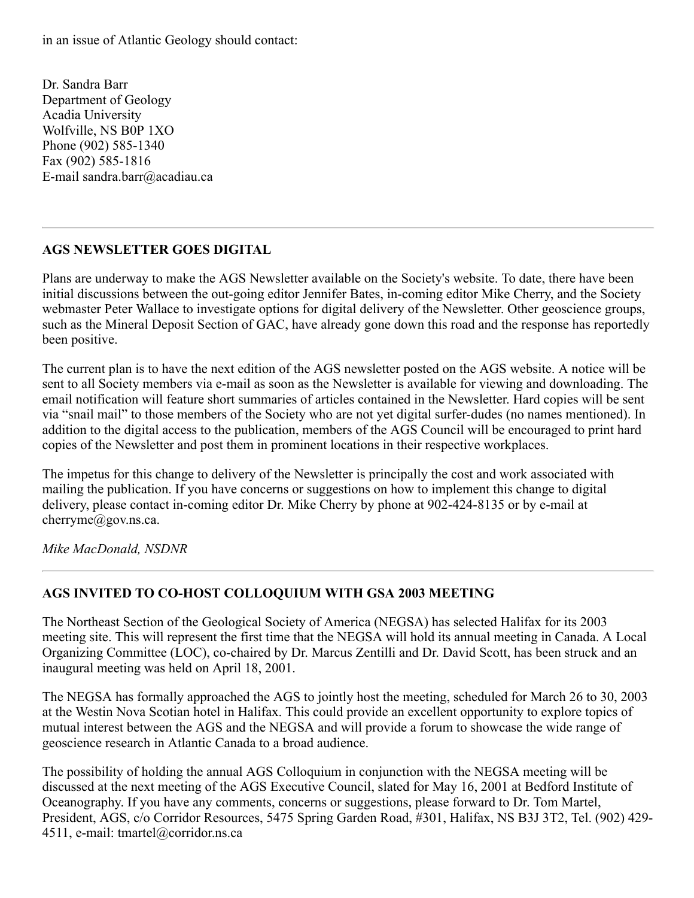in an issue of Atlantic Geology should contact:

Dr. Sandra Barr Department of Geology Acadia University Wolfville, NS B0P 1XO Phone (902) 585-1340 Fax (902) 585-1816 E-mail sandra.barr@acadiau.ca

#### **AGS NEWSLETTER GOES DIGITAL**

Plans are underway to make the AGS Newsletter available on the Society's website. To date, there have been initial discussions between the out-going editor Jennifer Bates, in-coming editor Mike Cherry, and the Society webmaster Peter Wallace to investigate options for digital delivery of the Newsletter. Other geoscience groups, such as the Mineral Deposit Section of GAC, have already gone down this road and the response has reportedly been positive.

The current plan is to have the next edition of the AGS newsletter posted on the AGS website. A notice will be sent to all Society members via e-mail as soon as the Newsletter is available for viewing and downloading. The email notification will feature short summaries of articles contained in the Newsletter. Hard copies will be sent via "snail mail" to those members of the Society who are not yet digital surfer-dudes (no names mentioned). In addition to the digital access to the publication, members of the AGS Council will be encouraged to print hard copies of the Newsletter and post them in prominent locations in their respective workplaces.

The impetus for this change to delivery of the Newsletter is principally the cost and work associated with mailing the publication. If you have concerns or suggestions on how to implement this change to digital delivery, please contact in-coming editor Dr. Mike Cherry by phone at 902-424-8135 or by e-mail at cherryme@gov.ns.ca.

*Mike MacDonald, NSDNR*

## **AGS INVITED TO CO-HOST COLLOQUIUM WITH GSA 2003 MEETING**

The Northeast Section of the Geological Society of America (NEGSA) has selected Halifax for its 2003 meeting site. This will represent the first time that the NEGSA will hold its annual meeting in Canada. A Local Organizing Committee (LOC), co-chaired by Dr. Marcus Zentilli and Dr. David Scott, has been struck and an inaugural meeting was held on April 18, 2001.

The NEGSA has formally approached the AGS to jointly host the meeting, scheduled for March 26 to 30, 2003 at the Westin Nova Scotian hotel in Halifax. This could provide an excellent opportunity to explore topics of mutual interest between the AGS and the NEGSA and will provide a forum to showcase the wide range of geoscience research in Atlantic Canada to a broad audience.

The possibility of holding the annual AGS Colloquium in conjunction with the NEGSA meeting will be discussed at the next meeting of the AGS Executive Council, slated for May 16, 2001 at Bedford Institute of Oceanography. If you have any comments, concerns or suggestions, please forward to Dr. Tom Martel, President, AGS, c/o Corridor Resources, 5475 Spring Garden Road, #301, Halifax, NS B3J 3T2, Tel. (902) 429- 4511, e-mail: tmartel@corridor.ns.ca